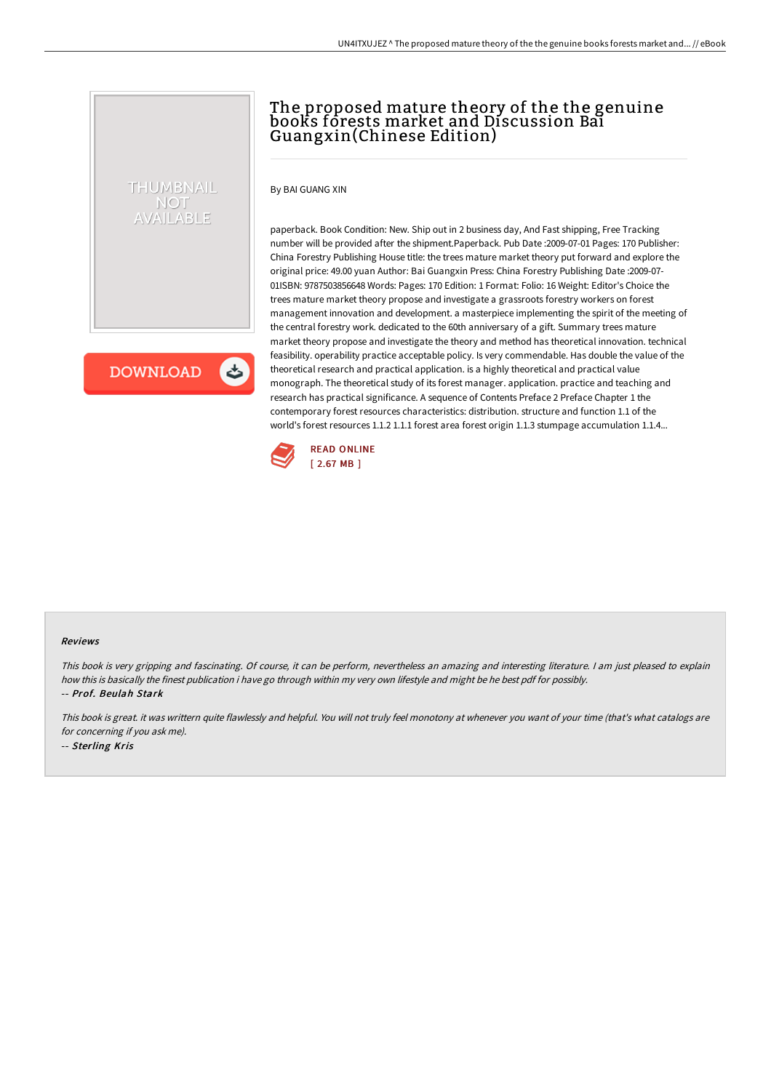# The proposed mature theory of the the genuine books forests market and Discussion Bai Guangxin(Chinese Edition)

By BAI GUANG XIN

paperback. Book Condition: New. Ship out in 2 business day, And Fast shipping, Free Tracking number will be provided after the shipment.Paperback. Pub Date :2009-07-01 Pages: 170 Publisher: China Forestry Publishing House title: the trees mature market theory put forward and explore the original price: 49.00 yuan Author: Bai Guangxin Press: China Forestry Publishing Date :2009-07- 01ISBN: 9787503856648 Words: Pages: 170 Edition: 1 Format: Folio: 16 Weight: Editor's Choice the trees mature market theory propose and investigate a grassroots forestry workers on forest management innovation and development. a masterpiece implementing the spirit of the meeting of the central forestry work. dedicated to the 60th anniversary of a gift. Summary trees mature market theory propose and investigate the theory and method has theoretical innovation. technical feasibility. operability practice acceptable policy. Is very commendable. Has double the value of the theoretical research and practical application. is a highly theoretical and practical value monograph. The theoretical study of its forest manager. application. practice and teaching and research has practical significance. A sequence of Contents Preface 2 Preface Chapter 1 the contemporary forest resources characteristics: distribution. structure and function 1.1 of the world's forest resources 1.1.2 1.1.1 forest area forest origin 1.1.3 stumpage accumulation 1.1.4...



**DOWNLOAD** 

くち

THUMBNAIL NOT AVAILABLE

#### Reviews

This book is very gripping and fascinating. Of course, it can be perform, nevertheless an amazing and interesting literature. <sup>I</sup> am just pleased to explain how this is basically the finest publication i have go through within my very own lifestyle and might be he best pdf for possibly. -- Prof. Beulah Stark

This book is great. it was writtern quite flawlessly and helpful. You will not truly feel monotony at whenever you want of your time (that's what catalogs are for concerning if you ask me). -- Sterling Kris